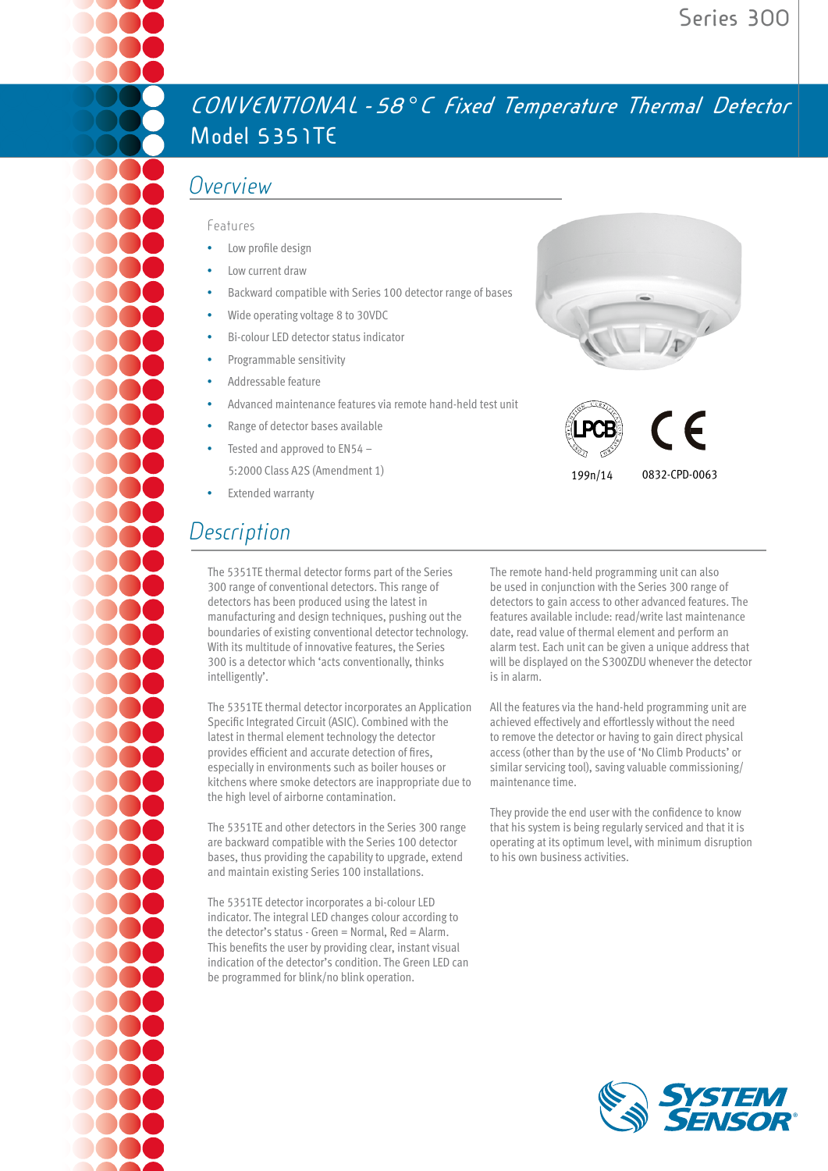# **CONVENTIONAL -58** °**C Fixed Temperature Thermal Detector Model 5351TE**

## *Overview*

#### Features

- Low profile design
- Low current draw
- Backward compatible with Series 100 detector range of bases
- Wide operating voltage 8 to 30VDC
- Bi-colour LED detector status indicator
- Programmable sensitivity
- Addressable feature
- Advanced maintenance features via remote hand-held test unit
- Range of detector bases available
- Tested and approved to EN54 5:2000 Class A2S (Amendment 1)
- Extended warranty

## *Description*

The 5351TE thermal detector forms part of the Series 300 range of conventional detectors. This range of detectors has been produced using the latest in manufacturing and design techniques, pushing out the boundaries of existing conventional detector technology. With its multitude of innovative features, the Series 300 is a detector which 'acts conventionally, thinks intelligently'.

The 5351TE thermal detector incorporates an Application Specific Integrated Circuit (ASIC). Combined with the latest in thermal element technology the detector provides efficient and accurate detection of fires, especially in environments such as boiler houses or kitchens where smoke detectors are inappropriate due to the high level of airborne contamination.

The 5351TE and other detectors in the Series 300 range are backward compatible with the Series 100 detector bases, thus providing the capability to upgrade, extend and maintain existing Series 100 installations.

The 5351TE detector incorporates a bi-colour LED indicator. The integral LED changes colour according to the detector's status - Green = Normal, Red = Alarm. This benefits the user by providing clear, instant visual indication of the detector's condition. The Green LED can be programmed for blink/no blink operation.

The remote hand-held programming unit can also be used in conjunction with the Series 300 range of detectors to gain access to other advanced features. The features available include: read/write last maintenance date, read value of thermal element and perform an alarm test. Each unit can be given a unique address that will be displayed on the S300ZDU whenever the detector is in alarm.

All the features via the hand-held programming unit are achieved effectively and effortlessly without the need to remove the detector or having to gain direct physical access (other than by the use of 'No Climb Products' or similar servicing tool), saving valuable commissioning/ maintenance time.

They provide the end user with the confidence to know that his system is being regularly serviced and that it is operating at its optimum level, with minimum disruption to his own business activities.